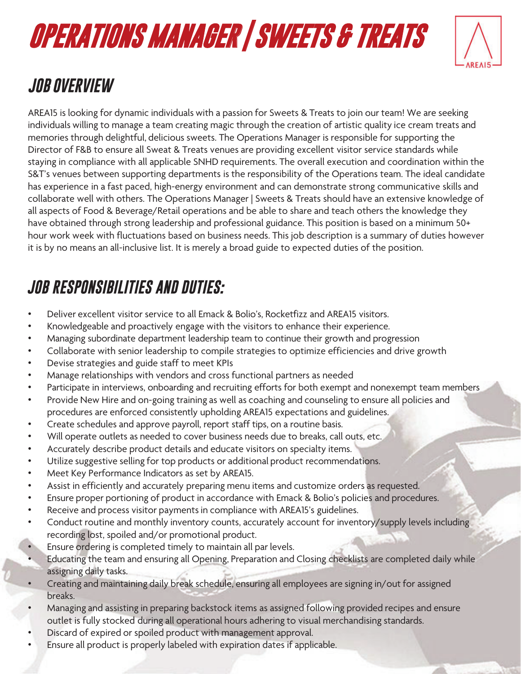# **OPERATIONS MANAGER | SWEETS & TREATS**



### *JOB OVERVIEW*

AREA15 is looking for dynamic individuals with a passion for Sweets & Treats to join our team! We are seeking individuals willing to manage a team creating magic through the creation of artistic quality ice cream treats and memories through delightful, delicious sweets. The Operations Manager is responsible for supporting the Director of F&B to ensure all Sweat & Treats venues are providing excellent visitor service standards while staying in compliance with all applicable SNHD requirements. The overall execution and coordination within the S&T's venues between supporting departments is the responsibility of the Operations team. The ideal candidate has experience in a fast paced, high-energy environment and can demonstrate strong communicative skills and collaborate well with others. The Operations Manager | Sweets & Treats should have an extensive knowledge of all aspects of Food & Beverage/Retail operations and be able to share and teach others the knowledge they have obtained through strong leadership and professional guidance. This position is based on a minimum 50+ hour work week with fluctuations based on business needs. This job description is a summary of duties however it is by no means an all-inclusive list. It is merely a broad guide to expected duties of the position.

#### *JOB RESPONSIBILITIES AND DUTIES:*

- Deliver excellent visitor service to all Emack & Bolio's, Rocketfizz and AREA15 visitors.
- Knowledgeable and proactively engage with the visitors to enhance their experience.
- Managing subordinate department leadership team to continue their growth and progression
- Collaborate with senior leadership to compile strategies to optimize efficiencies and drive growth
- Devise strategies and guide staff to meet KPIs
- Manage relationships with vendors and cross functional partners as needed
- Participate in interviews, onboarding and recruiting efforts for both exempt and nonexempt team members
- Provide New Hire and on-going training as well as coaching and counseling to ensure all policies and procedures are enforced consistently upholding AREA15 expectations and guidelines.
- Create schedules and approve payroll, report staff tips, on a routine basis.
- Will operate outlets as needed to cover business needs due to breaks, call outs, etc.
- Accurately describe product details and educate visitors on specialty items.
- Utilize suggestive selling for top products or additional product recommendations.
- Meet Key Performance Indicators as set by AREA15.
- Assist in efficiently and accurately preparing menu items and customize orders as requested.
- Ensure proper portioning of product in accordance with Emack & Bolio's policies and procedures.
- Receive and process visitor payments in compliance with AREA15's guidelines.
- Conduct routine and monthly inventory counts, accurately account for inventory/supply levels including recording lost, spoiled and/or promotional product.
- Ensure ordering is completed timely to maintain all par levels.
- Educating the team and ensuring all Opening, Preparation and Closing checklists are completed daily while assigning daily tasks.
- Creating and maintaining daily break schedule, ensuring all employees are signing in/out for assigned breaks.
- Managing and assisting in preparing backstock items as assigned following provided recipes and ensure outlet is fully stocked during all operational hours adhering to visual merchandising standards.
- Discard of expired or spoiled product with management approval.
- Ensure all product is properly labeled with expiration dates if applicable.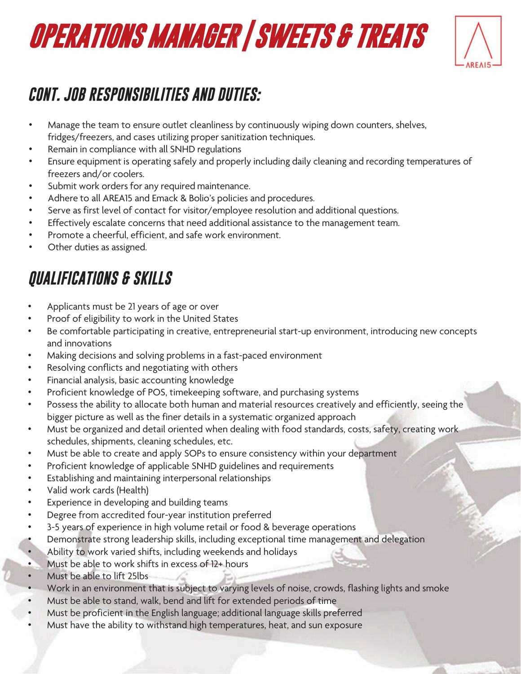### **OPERATIONS MANAGER | SWEETS & TREATS**



#### *CONT. JOB RESPONSIBILITIES AND DUTIES:*

- Manage the team to ensure outlet cleanliness by continuously wiping down counters, shelves, fridges/freezers, and cases utilizing proper sanitization techniques.
- Remain in compliance with all SNHD regulations
- Ensure equipment is operating safely and properly including daily cleaning and recording temperatures of freezers and/or coolers.
- Submit work orders for any required maintenance.
- Adhere to all AREA15 and Emack & Bolio's policies and procedures.
- Serve as first level of contact for visitor/employee resolution and additional questions.
- Effectively escalate concerns that need additional assistance to the management team.
- Promote a cheerful, efficient, and safe work environment.
- Other duties as assigned.

#### *QUALIFICATIONS & SKILLS*

- Applicants must be 21 years of age or over
- Proof of eligibility to work in the United States
- Be comfortable participating in creative, entrepreneurial start-up environment, introducing new concepts and innovations
- Making decisions and solving problems in a fast-paced environment
- Resolving conflicts and negotiating with others
- Financial analysis, basic accounting knowledge
- Proficient knowledge of POS, timekeeping software, and purchasing systems
- Possess the ability to allocate both human and material resources creatively and efficiently, seeing the bigger picture as well as the finer details in a systematic organized approach
- Must be organized and detail oriented when dealing with food standards, costs, safety, creating work schedules, shipments, cleaning schedules, etc.
- Must be able to create and apply SOPs to ensure consistency within your department
- Proficient knowledge of applicable SNHD guidelines and requirements
- Establishing and maintaining interpersonal relationships
- Valid work cards (Health)
- Experience in developing and building teams
- Degree from accredited four-year institution preferred
- 3-5 years of experience in high volume retail or food & beverage operations
- Demonstrate strong leadership skills, including exceptional time management and delegation
- Ability to work varied shifts, including weekends and holidays
- Must be able to work shifts in excess of 12+ hours
- Must be able to lift 25lbs
- Work in an environment that is subject to varying levels of noise, crowds, flashing lights and smoke
- Must be able to stand, walk, bend and lift for extended periods of time
- Must be proficient in the English language; additional language skills preferred
- Must have the ability to withstand high temperatures, heat, and sun exposure